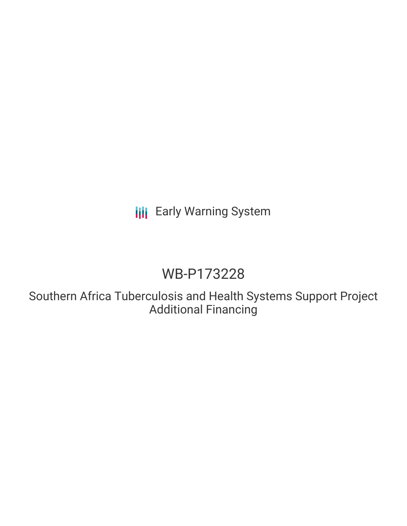## **III** Early Warning System

## WB-P173228

Southern Africa Tuberculosis and Health Systems Support Project Additional Financing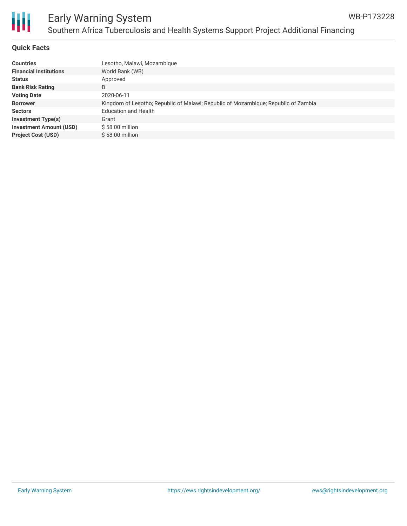

# Ш

### Early Warning System Southern Africa Tuberculosis and Health Systems Support Project Additional Financing

#### **Quick Facts**

| <b>Countries</b>               | Lesotho, Malawi, Mozambique                                                        |
|--------------------------------|------------------------------------------------------------------------------------|
| <b>Financial Institutions</b>  | World Bank (WB)                                                                    |
| <b>Status</b>                  | Approved                                                                           |
| <b>Bank Risk Rating</b>        | B                                                                                  |
| <b>Voting Date</b>             | 2020-06-11                                                                         |
| <b>Borrower</b>                | Kingdom of Lesotho; Republic of Malawi; Republic of Mozambique; Republic of Zambia |
| <b>Sectors</b>                 | <b>Education and Health</b>                                                        |
| Investment Type(s)             | Grant                                                                              |
| <b>Investment Amount (USD)</b> | $$58.00$ million                                                                   |
| <b>Project Cost (USD)</b>      | $$58.00$ million                                                                   |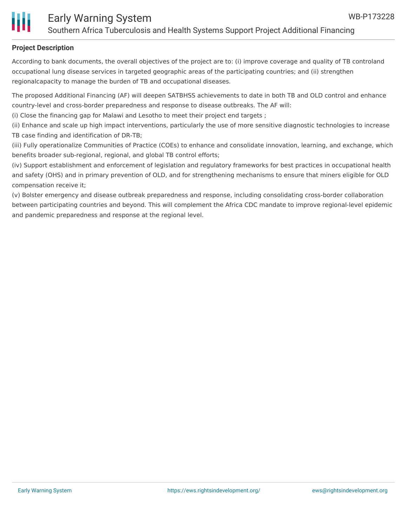

#### **Project Description**

According to bank documents, the overall objectives of the project are to: (i) improve coverage and quality of TB controland occupational lung disease services in targeted geographic areas of the participating countries; and (ii) strengthen regionalcapacity to manage the burden of TB and occupational diseases.

The proposed Additional Financing (AF) will deepen SATBHSS achievements to date in both TB and OLD control and enhance country-level and cross-border preparedness and response to disease outbreaks. The AF will:

(i) Close the financing gap for Malawi and Lesotho to meet their project end targets ;

(ii) Enhance and scale up high impact interventions, particularly the use of more sensitive diagnostic technologies to increase TB case finding and identification of DR-TB;

(iii) Fully operationalize Communities of Practice (COEs) to enhance and consolidate innovation, learning, and exchange, which benefits broader sub-regional, regional, and global TB control efforts;

(iv) Support establishment and enforcement of legislation and regulatory frameworks for best practices in occupational health and safety (OHS) and in primary prevention of OLD, and for strengthening mechanisms to ensure that miners eligible for OLD compensation receive it;

(v) Bolster emergency and disease outbreak preparedness and response, including consolidating cross-border collaboration between participating countries and beyond. This will complement the Africa CDC mandate to improve regional-level epidemic and pandemic preparedness and response at the regional level.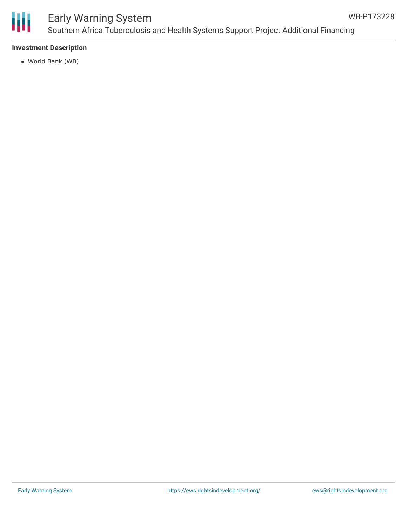

## Early Warning System Southern Africa Tuberculosis and Health Systems Support Project Additional Financing

#### **Investment Description**

World Bank (WB)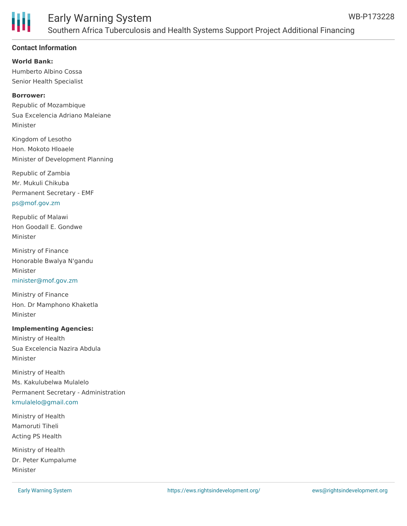

#### **Contact Information**

**World Bank:** Humberto Albino Cossa Senior Health Specialist

#### **Borrower:**

Republic of Mozambique Sua Excelencia Adriano Maleiane Minister

Kingdom of Lesotho Hon. Mokoto Hloaele Minister of Development Planning

Republic of Zambia Mr. Mukuli Chikuba Permanent Secretary - EMF [ps@mof.gov.zm](mailto:ps@mof.gov.zm)

Republic of Malawi Hon Goodall E. Gondwe Minister

Ministry of Finance Honorable Bwalya N'gandu Minister [minister@mof.gov.zm](mailto:minister@mof.gov.zm)

Ministry of Finance Hon. Dr Mamphono Khaketla Minister

#### **Implementing Agencies:**

Ministry of Health Sua Excelencia Nazira Abdula Minister

Ministry of Health Ms. Kakulubelwa Mulalelo Permanent Secretary - Administration [kmulalelo@gmail.com](mailto:kmulalelo@gmail.com)

Ministry of Health Mamoruti Tiheli Acting PS Health

Ministry of Health Dr. Peter Kumpalume Minister